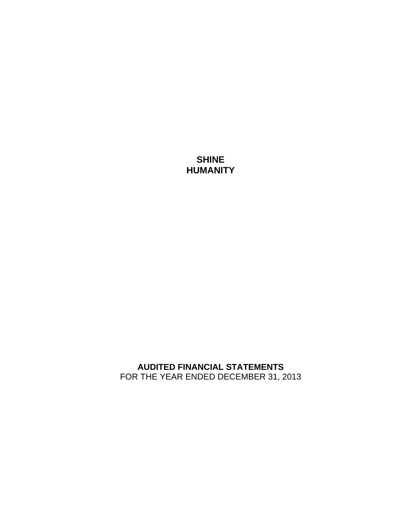**SHINE HUMANITY** 

**AUDITED FINANCIAL STATEMENTS**  FOR THE YEAR ENDED DECEMBER 31, 2013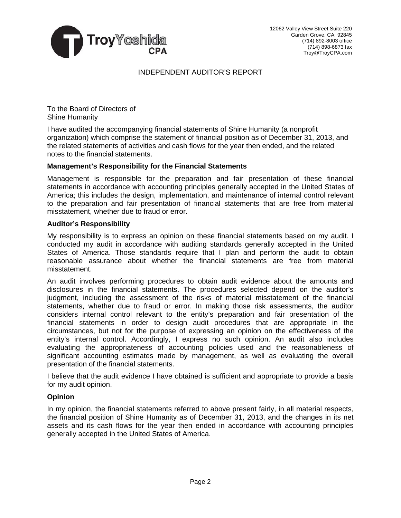

## INDEPENDENT AUDITOR'S REPORT

To the Board of Directors of Shine Humanity

I have audited the accompanying financial statements of Shine Humanity (a nonprofit organization) which comprise the statement of financial position as of December 31, 2013, and the related statements of activities and cash flows for the year then ended, and the related notes to the financial statements.

## **Management's Responsibility for the Financial Statements**

Management is responsible for the preparation and fair presentation of these financial statements in accordance with accounting principles generally accepted in the United States of America; this includes the design, implementation, and maintenance of internal control relevant to the preparation and fair presentation of financial statements that are free from material misstatement, whether due to fraud or error.

#### **Auditor's Responsibility**

My responsibility is to express an opinion on these financial statements based on my audit. I conducted my audit in accordance with auditing standards generally accepted in the United States of America. Those standards require that I plan and perform the audit to obtain reasonable assurance about whether the financial statements are free from material misstatement.

An audit involves performing procedures to obtain audit evidence about the amounts and disclosures in the financial statements. The procedures selected depend on the auditor's judgment, including the assessment of the risks of material misstatement of the financial statements, whether due to fraud or error. In making those risk assessments, the auditor considers internal control relevant to the entity's preparation and fair presentation of the financial statements in order to design audit procedures that are appropriate in the circumstances, but not for the purpose of expressing an opinion on the effectiveness of the entity's internal control. Accordingly, I express no such opinion. An audit also includes evaluating the appropriateness of accounting policies used and the reasonableness of significant accounting estimates made by management, as well as evaluating the overall presentation of the financial statements.

I believe that the audit evidence I have obtained is sufficient and appropriate to provide a basis for my audit opinion.

#### **Opinion**

In my opinion, the financial statements referred to above present fairly, in all material respects, the financial position of Shine Humanity as of December 31, 2013, and the changes in its net assets and its cash flows for the year then ended in accordance with accounting principles generally accepted in the United States of America.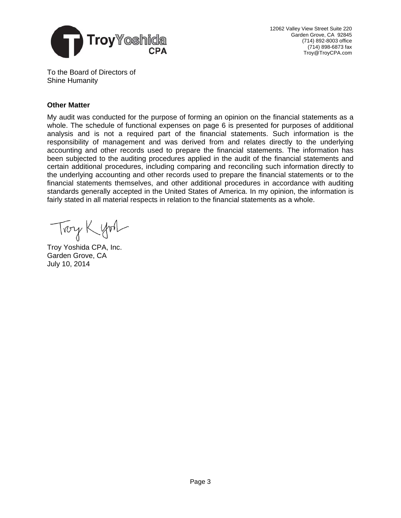

12062 Valley View Street Suite 220 Garden Grove, CA 92845 (714) 892-8003 office (714) 898-6873 fax Troy@TroyCPA.com

To the Board of Directors of Shine Humanity

## **Other Matter**

My audit was conducted for the purpose of forming an opinion on the financial statements as a whole. The schedule of functional expenses on page 6 is presented for purposes of additional analysis and is not a required part of the financial statements. Such information is the responsibility of management and was derived from and relates directly to the underlying accounting and other records used to prepare the financial statements. The information has been subjected to the auditing procedures applied in the audit of the financial statements and certain additional procedures, including comparing and reconciling such information directly to the underlying accounting and other records used to prepare the financial statements or to the financial statements themselves, and other additional procedures in accordance with auditing standards generally accepted in the United States of America. In my opinion, the information is fairly stated in all material respects in relation to the financial statements as a whole.

Troy Kyon

Troy Yoshida CPA, Inc. Garden Grove, CA July 10, 2014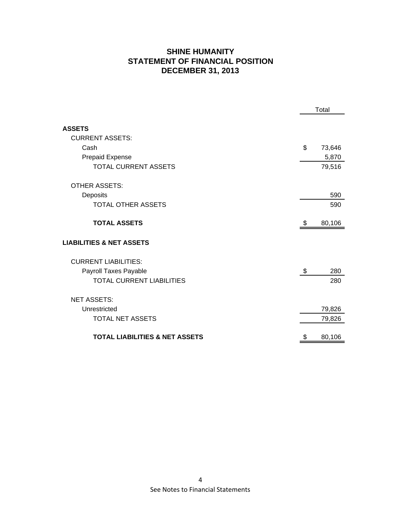# **SHINE HUMANITY STATEMENT OF FINANCIAL POSITION DECEMBER 31, 2013**

|                                           | Total                      |        |
|-------------------------------------------|----------------------------|--------|
| <b>ASSETS</b><br><b>CURRENT ASSETS:</b>   |                            |        |
| Cash                                      | \$                         | 73,646 |
| <b>Prepaid Expense</b>                    |                            | 5,870  |
| <b>TOTAL CURRENT ASSETS</b>               |                            | 79,516 |
| <b>OTHER ASSETS:</b>                      |                            |        |
| Deposits                                  |                            | 590    |
| <b>TOTAL OTHER ASSETS</b>                 |                            | 590    |
| <b>TOTAL ASSETS</b>                       | \$                         | 80,106 |
| <b>LIABILITIES &amp; NET ASSETS</b>       |                            |        |
| <b>CURRENT LIABILITIES:</b>               |                            |        |
| Payroll Taxes Payable                     | $\boldsymbol{\mathcal{F}}$ | 280    |
| <b>TOTAL CURRENT LIABILITIES</b>          |                            | 280    |
| <b>NET ASSETS:</b>                        |                            |        |
| Unrestricted                              |                            | 79,826 |
| <b>TOTAL NET ASSETS</b>                   |                            | 79,826 |
| <b>TOTAL LIABILITIES &amp; NET ASSETS</b> | £.                         | 80,106 |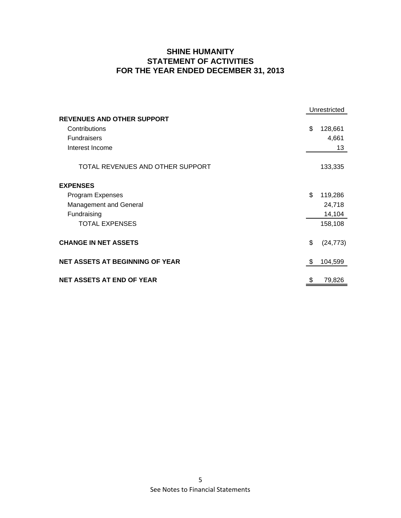# **SHINE HUMANITY STATEMENT OF ACTIVITIES FOR THE YEAR ENDED DECEMBER 31, 2013**

|                                   | Unrestricted    |
|-----------------------------------|-----------------|
| <b>REVENUES AND OTHER SUPPORT</b> |                 |
| Contributions                     | \$<br>128,661   |
| <b>Fundraisers</b>                | 4,661           |
| Interest Income                   | 13              |
|                                   |                 |
| TOTAL REVENUES AND OTHER SUPPORT  | 133,335         |
|                                   |                 |
| <b>EXPENSES</b>                   |                 |
| <b>Program Expenses</b>           | \$<br>119,286   |
| Management and General            | 24,718          |
| Fundraising                       | 14,104          |
| <b>TOTAL EXPENSES</b>             | 158,108         |
|                                   |                 |
| <b>CHANGE IN NET ASSETS</b>       | \$<br>(24, 773) |
|                                   |                 |
| NET ASSETS AT BEGINNING OF YEAR   | 104,599<br>\$   |
|                                   |                 |
| <b>NET ASSETS AT END OF YEAR</b>  | 79,826<br>\$    |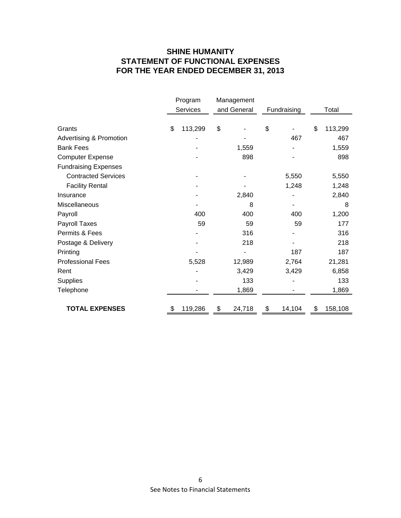# **SHINE HUMANITY STATEMENT OF FUNCTIONAL EXPENSES FOR THE YEAR ENDED DECEMBER 31, 2013**

|                                    | Program<br>Management |          |              |              |               |
|------------------------------------|-----------------------|----------|--------------|--------------|---------------|
|                                    |                       | Services | and General  | Fundraising  | Total         |
|                                    |                       |          |              |              |               |
| Grants                             | \$                    | 113,299  | \$           | \$           | \$<br>113,299 |
| <b>Advertising &amp; Promotion</b> |                       |          |              | 467          | 467           |
| <b>Bank Fees</b>                   |                       |          | 1,559        |              | 1,559         |
| <b>Computer Expense</b>            |                       |          | 898          |              | 898           |
| <b>Fundraising Expenses</b>        |                       |          |              |              |               |
| <b>Contracted Services</b>         |                       |          |              | 5,550        | 5,550         |
| <b>Facility Rental</b>             |                       |          |              | 1,248        | 1,248         |
| Insurance                          |                       |          | 2,840        |              | 2,840         |
| Miscellaneous                      |                       |          | 8            |              | 8             |
| Payroll                            |                       | 400      | 400          | 400          | 1,200         |
| Payroll Taxes                      |                       | 59       | 59           | 59           | 177           |
| Permits & Fees                     |                       |          | 316          |              | 316           |
| Postage & Delivery                 |                       |          | 218          |              | 218           |
| Printing                           |                       |          |              | 187          | 187           |
| <b>Professional Fees</b>           |                       | 5,528    | 12,989       | 2,764        | 21,281        |
| Rent                               |                       |          | 3,429        | 3,429        | 6,858         |
| <b>Supplies</b>                    |                       |          | 133          |              | 133           |
| Telephone                          |                       |          | 1,869        |              | 1,869         |
|                                    |                       |          |              |              |               |
| <b>TOTAL EXPENSES</b>              |                       | 119,286  | \$<br>24,718 | \$<br>14,104 | 158,108       |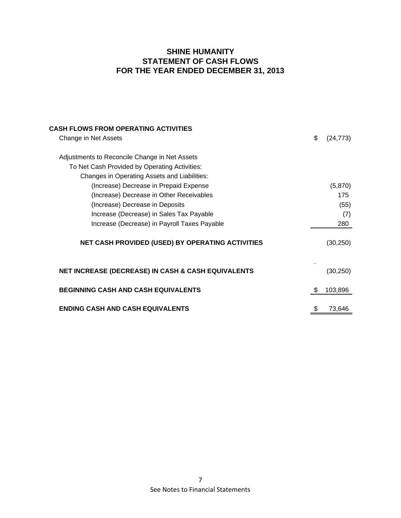# **SHINE HUMANITY STATEMENT OF CASH FLOWS FOR THE YEAR ENDED DECEMBER 31, 2013**

| CASH FLOWS FROM OPERATING ACTIVITIES                          |    |           |
|---------------------------------------------------------------|----|-----------|
| Change in Net Assets                                          | \$ | (24, 773) |
| Adjustments to Reconcile Change in Net Assets                 |    |           |
| To Net Cash Provided by Operating Activities:                 |    |           |
| Changes in Operating Assets and Liabilities:                  |    |           |
| (Increase) Decrease in Prepaid Expense                        |    | (5,870)   |
| (Increase) Decrease in Other Receivables                      |    | 175       |
| (Increase) Decrease in Deposits                               |    | (55)      |
| Increase (Decrease) in Sales Tax Payable                      |    | (7)       |
| Increase (Decrease) in Payroll Taxes Payable                  |    | 280       |
| <b>NET CASH PROVIDED (USED) BY OPERATING ACTIVITIES</b>       |    | (30, 250) |
| <b>NET INCREASE (DECREASE) IN CASH &amp; CASH EQUIVALENTS</b> |    | (30, 250) |
| <b>BEGINNING CASH AND CASH EQUIVALENTS</b>                    | 35 | 103,896   |
| <b>ENDING CASH AND CASH EQUIVALENTS</b>                       | \$ | 73,646    |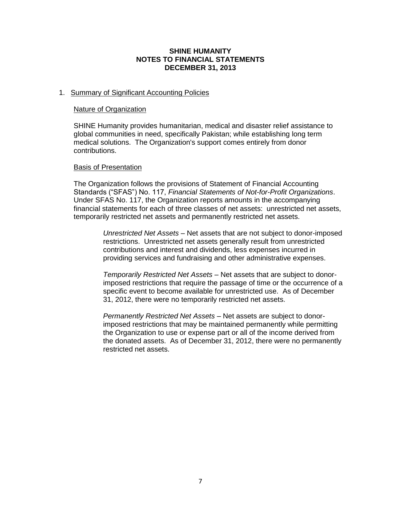## **SHINE HUMANITY NOTES TO FINANCIAL STATEMENTS DECEMBER 31, 2013**

## 1. Summary of Significant Accounting Policies

#### Nature of Organization

SHINE Humanity provides humanitarian, medical and disaster relief assistance to global communities in need, specifically Pakistan; while establishing long term medical solutions. The Organization's support comes entirely from donor contributions.

#### Basis of Presentation

The Organization follows the provisions of Statement of Financial Accounting Standards ("SFAS") No. 117, *Financial Statements of Not-for-Profit Organizations*. Under SFAS No. 117, the Organization reports amounts in the accompanying financial statements for each of three classes of net assets: unrestricted net assets, temporarily restricted net assets and permanently restricted net assets.

> *Unrestricted Net Assets* – Net assets that are not subject to donor-imposed restrictions. Unrestricted net assets generally result from unrestricted contributions and interest and dividends, less expenses incurred in providing services and fundraising and other administrative expenses.

> *Temporarily Restricted Net Assets* – Net assets that are subject to donorimposed restrictions that require the passage of time or the occurrence of a specific event to become available for unrestricted use. As of December 31, 2012, there were no temporarily restricted net assets.

> *Permanently Restricted Net Assets* – Net assets are subject to donorimposed restrictions that may be maintained permanently while permitting the Organization to use or expense part or all of the income derived from the donated assets. As of December 31, 2012, there were no permanently restricted net assets.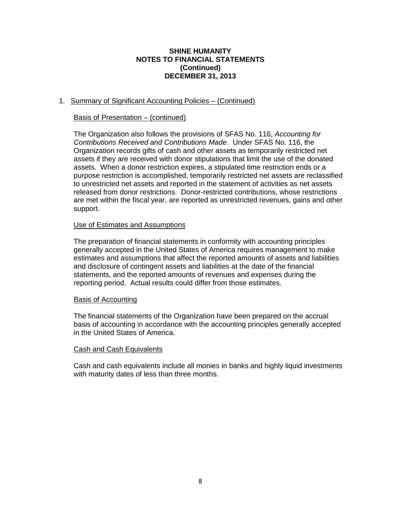## **SHINE HUMANITY NOTES TO FINANCIAL STATEMENTS (Continued) DECEMBER 31, 2013**

# 1. Summary of Significant Accounting Policies – (Continued)

## Basis of Presentation – (continued)

The Organization also follows the provisions of SFAS No. 116, *Accounting for Contributions Received and Contributions Made*. Under SFAS No. 116, the Organization records gifts of cash and other assets as temporarily restricted net assets if they are received with donor stipulations that limit the use of the donated assets. When a donor restriction expires, a stipulated time restriction ends or a purpose restriction is accomplished, temporarily restricted net assets are reclassified to unrestricted net assets and reported in the statement of activities as net assets released from donor restrictions. Donor-restricted contributions, whose restrictions are met within the fiscal year, are reported as unrestricted revenues, gains and other support.

## Use of Estimates and Assumptions

The preparation of financial statements in conformity with accounting principles generally accepted in the United States of America requires management to make estimates and assumptions that affect the reported amounts of assets and liabilities and disclosure of contingent assets and liabilities at the date of the financial statements, and the reported amounts of revenues and expenses during the reporting period. Actual results could differ from those estimates.

#### Basis of Accounting

The financial statements of the Organization have been prepared on the accrual basis of accounting in accordance with the accounting principles generally accepted in the United States of America.

#### Cash and Cash Equivalents

Cash and cash equivalents include all monies in banks and highly liquid investments with maturity dates of less than three months.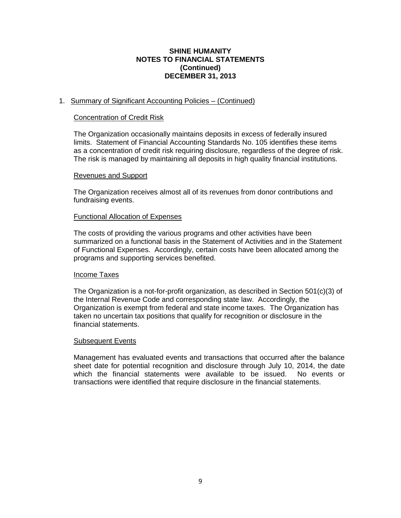## **SHINE HUMANITY NOTES TO FINANCIAL STATEMENTS (Continued) DECEMBER 31, 2013**

# 1. Summary of Significant Accounting Policies – (Continued)

## Concentration of Credit Risk

The Organization occasionally maintains deposits in excess of federally insured limits. Statement of Financial Accounting Standards No. 105 identifies these items as a concentration of credit risk requiring disclosure, regardless of the degree of risk. The risk is managed by maintaining all deposits in high quality financial institutions.

#### Revenues and Support

The Organization receives almost all of its revenues from donor contributions and fundraising events.

#### Functional Allocation of Expenses

The costs of providing the various programs and other activities have been summarized on a functional basis in the Statement of Activities and in the Statement of Functional Expenses. Accordingly, certain costs have been allocated among the programs and supporting services benefited.

#### Income Taxes

The Organization is a not-for-profit organization, as described in Section 501(c)(3) of the Internal Revenue Code and corresponding state law. Accordingly, the Organization is exempt from federal and state income taxes. The Organization has taken no uncertain tax positions that qualify for recognition or disclosure in the financial statements.

#### Subsequent Events

Management has evaluated events and transactions that occurred after the balance sheet date for potential recognition and disclosure through July 10, 2014, the date which the financial statements were available to be issued. No events or transactions were identified that require disclosure in the financial statements.